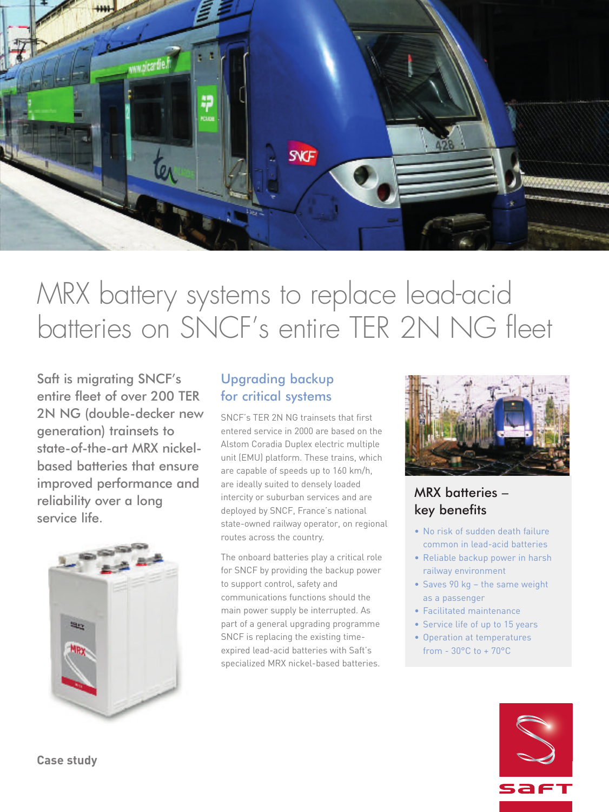

# MRX battery systems to replace lead-acid batteries on SNCF' s entire TER 2N NG fleet

Saft is migrating SNCF's entire fleet of over 200 TER 2N NG (double-decker new generation) trainsets to state-of-the-art MRX nickelbased batteries that ensure improved performance and reliability over a long service life.



#### Upgrading backup for critical systems

SNCF's TER 2N NG trainsets that first entered service in 2000 are based on the Alstom Coradia Duplex electric multiple unit (EMU) platform. These trains, which are capable of speeds up to 160 km/h, are ideally suited to densely loaded intercity or suburban services and are deployed by SNCF, France's national state-owned railway operator, on regional routes across the country.

The onboard batteries play a critical role for SNCF by providing the backup power to support control, safety and communications functions should the main power supply be interrupted. As part of a general upgrading programme SNCF is replacing the existing timeexpired lead-acid batteries with Saft's specialized MRX nickel-based batteries.



## MRX batteries – key benefits

- No risk of sudden death failure common in lead-acid batteries
- Reliable backup power in harsh railway environment
- Saves 90 kg the same weight as a passenger
- Facilitated maintenance
- Service life of up to 15 years
- Operation at temperatures from - 30°C to + 70°C